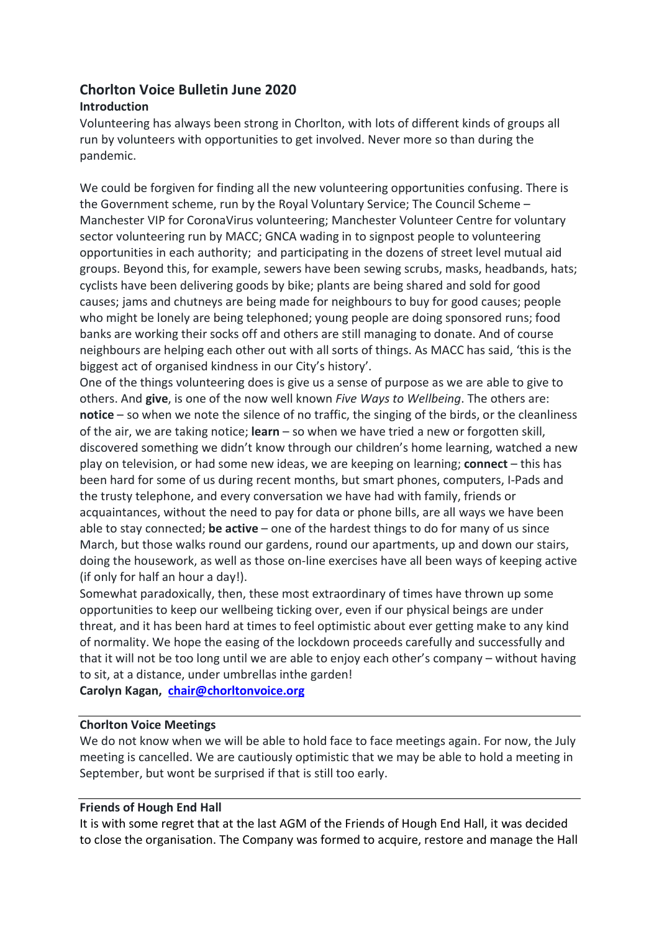# Chorlton Voice Bulletin June 2020

## Introduction

Volunteering has always been strong in Chorlton, with lots of different kinds of groups all run by volunteers with opportunities to get involved. Never more so than during the pandemic.

We could be forgiven for finding all the new volunteering opportunities confusing. There is the Government scheme, run by the Royal Voluntary Service; The Council Scheme – Manchester VIP for CoronaVirus volunteering; Manchester Volunteer Centre for voluntary sector volunteering run by MACC; GNCA wading in to signpost people to volunteering opportunities in each authority; and participating in the dozens of street level mutual aid groups. Beyond this, for example, sewers have been sewing scrubs, masks, headbands, hats; cyclists have been delivering goods by bike; plants are being shared and sold for good causes; jams and chutneys are being made for neighbours to buy for good causes; people who might be lonely are being telephoned; young people are doing sponsored runs; food banks are working their socks off and others are still managing to donate. And of course neighbours are helping each other out with all sorts of things. As MACC has said, 'this is the biggest act of organised kindness in our City's history'.

One of the things volunteering does is give us a sense of purpose as we are able to give to others. And give, is one of the now well known Five Ways to Wellbeing. The others are: notice – so when we note the silence of no traffic, the singing of the birds, or the cleanliness of the air, we are taking notice;  $\tan - so$  when we have tried a new or forgotten skill, discovered something we didn't know through our children's home learning, watched a new play on television, or had some new ideas, we are keeping on learning; connect – this has been hard for some of us during recent months, but smart phones, computers, I-Pads and the trusty telephone, and every conversation we have had with family, friends or acquaintances, without the need to pay for data or phone bills, are all ways we have been able to stay connected; be active – one of the hardest things to do for many of us since March, but those walks round our gardens, round our apartments, up and down our stairs, doing the housework, as well as those on-line exercises have all been ways of keeping active (if only for half an hour a day!).

Somewhat paradoxically, then, these most extraordinary of times have thrown up some opportunities to keep our wellbeing ticking over, even if our physical beings are under threat, and it has been hard at times to feel optimistic about ever getting make to any kind of normality. We hope the easing of the lockdown proceeds carefully and successfully and that it will not be too long until we are able to enjoy each other's company – without having to sit, at a distance, under umbrellas inthe garden!

Carolyn Kagan, chair@chorltonvoice.org

## Chorlton Voice Meetings

We do not know when we will be able to hold face to face meetings again. For now, the July meeting is cancelled. We are cautiously optimistic that we may be able to hold a meeting in September, but wont be surprised if that is still too early.

### Friends of Hough End Hall

It is with some regret that at the last AGM of the Friends of Hough End Hall, it was decided to close the organisation. The Company was formed to acquire, restore and manage the Hall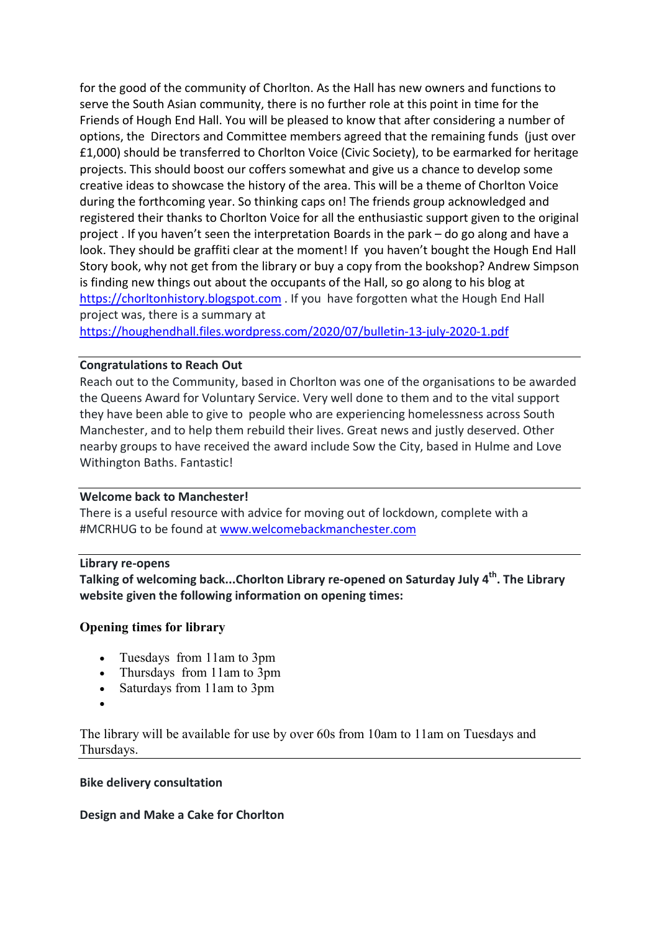for the good of the community of Chorlton. As the Hall has new owners and functions to serve the South Asian community, there is no further role at this point in time for the Friends of Hough End Hall. You will be pleased to know that after considering a number of options, the Directors and Committee members agreed that the remaining funds (just over £1,000) should be transferred to Chorlton Voice (Civic Society), to be earmarked for heritage projects. This should boost our coffers somewhat and give us a chance to develop some creative ideas to showcase the history of the area. This will be a theme of Chorlton Voice during the forthcoming year. So thinking caps on! The friends group acknowledged and registered their thanks to Chorlton Voice for all the enthusiastic support given to the original project . If you haven't seen the interpretation Boards in the park – do go along and have a look. They should be graffiti clear at the moment! If you haven't bought the Hough End Hall Story book, why not get from the library or buy a copy from the bookshop? Andrew Simpson is finding new things out about the occupants of the Hall, so go along to his blog at https://chorltonhistory.blogspot.com . If you have forgotten what the Hough End Hall project was, there is a summary at

https://houghendhall.files.wordpress.com/2020/07/bulletin-13-july-2020-1.pdf

### Congratulations to Reach Out

Reach out to the Community, based in Chorlton was one of the organisations to be awarded the Queens Award for Voluntary Service. Very well done to them and to the vital support they have been able to give to people who are experiencing homelessness across South Manchester, and to help them rebuild their lives. Great news and justly deserved. Other nearby groups to have received the award include Sow the City, based in Hulme and Love Withington Baths. Fantastic!

### Welcome back to Manchester!

There is a useful resource with advice for moving out of lockdown, complete with a #MCRHUG to be found at www.welcomebackmanchester.com

### Library re-opens

Talking of welcoming back...Chorlton Library re-opened on Saturday July 4<sup>th</sup>. The Library website given the following information on opening times:

### Opening times for library

- Tuesdays from 11am to 3pm
- Thursdays from 11am to 3pm
- Saturdays from 11am to 3pm
- $\bullet$

The library will be available for use by over 60s from 10am to 11am on Tuesdays and Thursdays.

### Bike delivery consultation

### Design and Make a Cake for Chorlton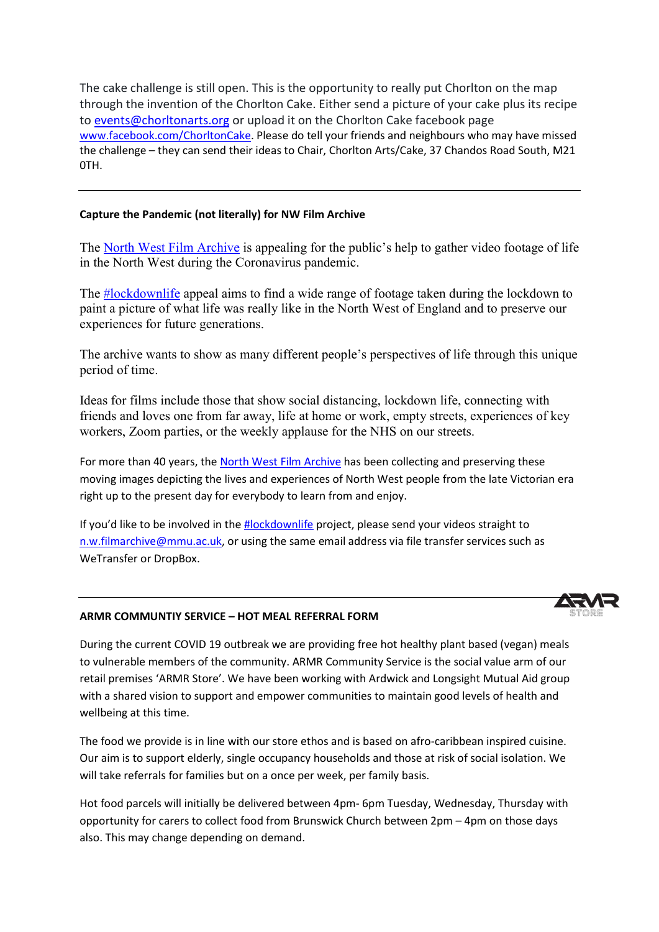The cake challenge is still open. This is the opportunity to really put Chorlton on the map<br>through the invention of the Chorlton Cake. Either send a picture of your cake plus its rec through the invention of the Chorlton Cake. Either send a picture of your cake plus its recipe to events@chorltonarts.org or upload it on the Chorlton Cake facebook page www.facebook.com/ChorltonCake. Please do tell your friends and neighbours who may have missed the challenge - they can send their ideas to Chair, Chorlton Arts/Cake, 37 Chandos Road South, M21 0TH.

#### Capture the Pandemic (not literally) for NW Film Archive

The North West Film Archive is appealing for the public's help to gather video footage of life in the North West during the Coronavirus pandemic.

The **#lockdownlife** appeal aims to find a wide range of footage taken during the lockdown to paint a picture of what life was really like in the North West of England and to preserve our experiences for future generations. ng the lockdown to<br>nd to preserve our<br>through this unique

experiences for future generations.<br>The archive wants to show as many different people's perspectives of life through period of time.

Ideas for films include those that show social distancing, lockdown life, connecting with friends and loves one from far away, life at home or work, empty streets, experiences of key workers, Zoom parties, or the weekly applause for the NHS on our streets. workers, Zoom parties, or the weekly applause for the NHS on our streets.

For more than 40 years, the North West Film Archive has been collecting and preserving these moving images depicting the lives and experiences of North West people from the late Victorian era right up to the present day for everybody to learn from and enjoy. moving images depicting the lives and experiences of North West people from the late Victo<br>right up to the present day for everybody to learn from and enjoy.<br>If you'd like to be involved in the <u>#lockdownlife</u> project, ple

n.w.filmarchive@mmu.ac.uk, or using the same email address via file transfer services such as WeTransfer or DropBox.





During the current COVID 19 outbreak we are providing free hot healthy plant based (vegan) meals to vulnerable members of the community. ARMR Community Service is the social value arm of our to vulnerable members of the community. ARMR Community Service is the social value arm of our<br>retail premises 'ARMR Store'. We have been working with Ardwick and Longsight Mutual Aid group with a shared vision to support and empower communities to maintain good levels of health and wellbeing at this time. e have been working with Ardwick and Longsight Mutual Aid group<br>and empower communities to maintain good levels of health and<br>ith our store ethos and is based on afro-caribbean inspired cuisine.<br>Igle occupancy households a

The food we provide is in line with our store ethos and is based on afro-caribbean inspired cuisine. Our aim is to support elderly, single occupancy households and those at risk of social isolation. We will take referrals for families but on a once per week, per family basis. Our aim is to support elderly, single occupancy households and those at risk of social isolation. We<br>will take referrals for families but on a once per week, per family basis.<br>Hot food parcels will initially be delivered b

opportunity for carers to collect food from Brunswick Church between 2pm - 4pm on those days also. This may change depending on demand.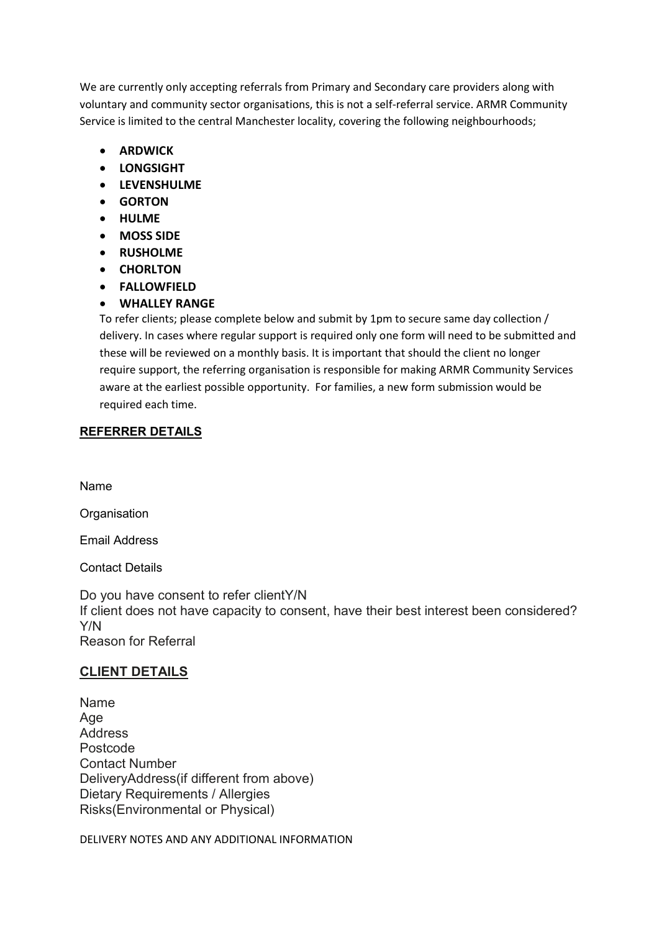We are currently only accepting referrals from Primary and Secondary care providers along with voluntary and community sector organisations, this is not a self-referral service. ARMR Community Service is limited to the central Manchester locality, covering the following neighbourhoods;

- **ARDWICK**
- LONGSIGHT
- LEVENSHULME
- GORTON
- HULME
- MOSS SIDE
- RUSHOLME
- CHORLTON
- FALLOWFIELD

## WHALLEY RANGE

To refer clients; please complete below and submit by 1pm to secure same day collection / delivery. In cases where regular support is required only one form will need to be submitted and these will be reviewed on a monthly basis. It is important that should the client no longer require support, the referring organisation is responsible for making ARMR Community Services aware at the earliest possible opportunity. For families, a new form submission would be required each time.

## REFERRER DETAILS

Name

**Organisation** 

Email Address

Contact Details

Do you have consent to refer clientY/N If client does not have capacity to consent, have their best interest been considered? Y/N Reason for Referral

## CLIENT DETAILS

Name Age Address Postcode Contact Number DeliveryAddress(if different from above) Dietary Requirements / Allergies Risks(Environmental or Physical)

DELIVERY NOTES AND ANY ADDITIONAL INFORMATION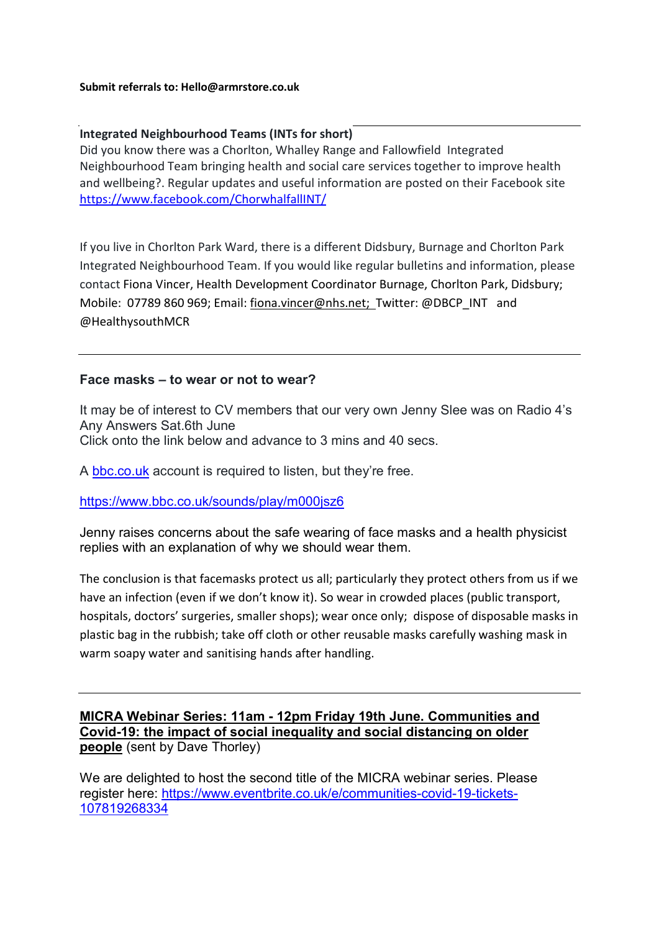#### Submit referrals to: Hello@armrstore.co.uk

## Integrated Neighbourhood Teams (INTs for short)

Did you know there was a Chorlton, Whalley Range and Fallowfield Integrated Neighbourhood Team bringing health and social care services together to improve health and wellbeing?. Regular updates and useful information are posted on their Facebook site https://www.facebook.com/ChorwhalfallINT/

If you live in Chorlton Park Ward, there is a different Didsbury, Burnage and Chorlton Park Integrated Neighbourhood Team. If you would like regular bulletins and information, please contact Fiona Vincer, Health Development Coordinator Burnage, Chorlton Park, Didsbury; Mobile: 07789 860 969; Email: fiona.vincer@nhs.net; Twitter: @DBCP\_INT and @HealthysouthMCR

## Face masks – to wear or not to wear?

It may be of interest to CV members that our very own Jenny Slee was on Radio 4's Any Answers Sat.6th June Click onto the link below and advance to 3 mins and 40 secs.

A bbc.co.uk account is required to listen, but they're free.

https://www.bbc.co.uk/sounds/play/m000jsz6

Jenny raises concerns about the safe wearing of face masks and a health physicist replies with an explanation of why we should wear them.

The conclusion is that facemasks protect us all; particularly they protect others from us if we have an infection (even if we don't know it). So wear in crowded places (public transport, hospitals, doctors' surgeries, smaller shops); wear once only; dispose of disposable masks in plastic bag in the rubbish; take off cloth or other reusable masks carefully washing mask in warm soapy water and sanitising hands after handling.

## MICRA Webinar Series: 11am - 12pm Friday 19th June. Communities and Covid-19: the impact of social inequality and social distancing on older people (sent by Dave Thorley)

We are delighted to host the second title of the MICRA webinar series. Please register here: https://www.eventbrite.co.uk/e/communities-covid-19-tickets-107819268334